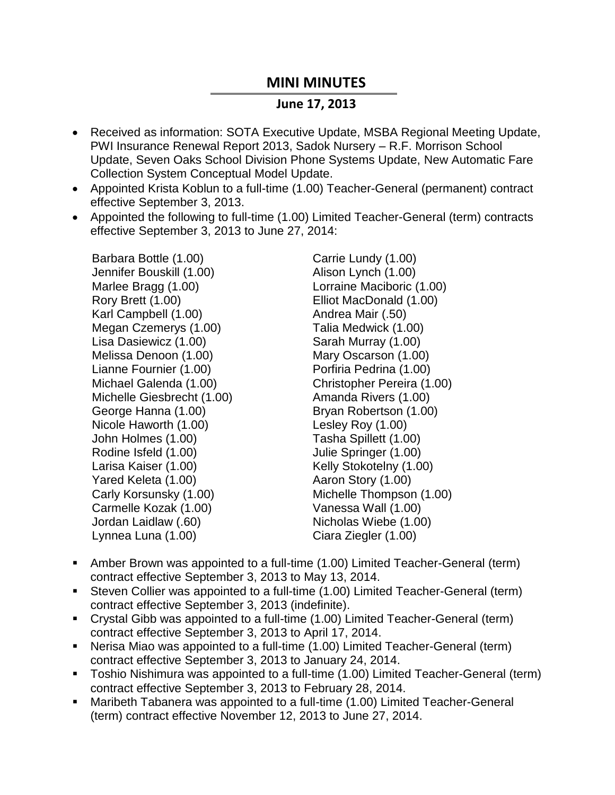## **MINI MINUTES**

## **June 17, 2013**

- Received as information: SOTA Executive Update, MSBA Regional Meeting Update, PWI Insurance Renewal Report 2013, Sadok Nursery – R.F. Morrison School Update, Seven Oaks School Division Phone Systems Update, New Automatic Fare Collection System Conceptual Model Update.
- Appointed Krista Koblun to a full-time (1.00) Teacher-General (permanent) contract effective September 3, 2013.
- Appointed the following to full-time (1.00) Limited Teacher-General (term) contracts effective September 3, 2013 to June 27, 2014:

Barbara Bottle (1.00) Jennifer Bouskill (1.00) Marlee Bragg (1.00) Rory Brett (1.00) Karl Campbell (1.00) Megan Czemerys (1.00) Lisa Dasiewicz (1.00) Melissa Denoon (1.00) Lianne Fournier (1.00) Michael Galenda (1.00) Michelle Giesbrecht (1.00) George Hanna (1.00) Nicole Haworth (1.00) John Holmes (1.00) Rodine Isfeld (1.00) Larisa Kaiser (1.00) Yared Keleta (1.00) Carly Korsunsky (1.00) Carmelle Kozak (1.00) Jordan Laidlaw (.60) Lynnea Luna (1.00)

Carrie Lundy (1.00) Alison Lynch (1.00) Lorraine Maciboric (1.00) Elliot MacDonald (1.00) Andrea Mair (.50) Talia Medwick (1.00) Sarah Murray (1.00) Mary Oscarson (1.00) Porfiria Pedrina (1.00) Christopher Pereira (1.00) Amanda Rivers (1.00) Bryan Robertson (1.00) Lesley Roy (1.00) Tasha Spillett (1.00) Julie Springer (1.00) Kelly Stokotelny (1.00) Aaron Story (1.00) Michelle Thompson (1.00) Vanessa Wall (1.00) Nicholas Wiebe (1.00) Ciara Ziegler (1.00)

- Amber Brown was appointed to a full-time (1.00) Limited Teacher-General (term) contract effective September 3, 2013 to May 13, 2014.
- Steven Collier was appointed to a full-time (1.00) Limited Teacher-General (term) contract effective September 3, 2013 (indefinite).
- Crystal Gibb was appointed to a full-time (1.00) Limited Teacher-General (term) contract effective September 3, 2013 to April 17, 2014.
- Nerisa Miao was appointed to a full-time (1.00) Limited Teacher-General (term) contract effective September 3, 2013 to January 24, 2014.
- Toshio Nishimura was appointed to a full-time (1.00) Limited Teacher-General (term) contract effective September 3, 2013 to February 28, 2014.
- Maribeth Tabanera was appointed to a full-time (1.00) Limited Teacher-General (term) contract effective November 12, 2013 to June 27, 2014.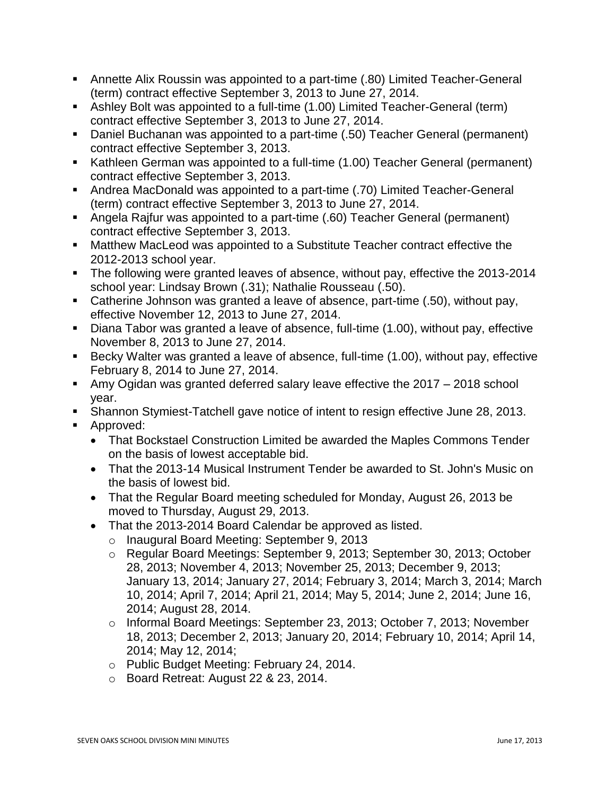- Annette Alix Roussin was appointed to a part-time (.80) Limited Teacher-General (term) contract effective September 3, 2013 to June 27, 2014.
- Ashley Bolt was appointed to a full-time (1.00) Limited Teacher-General (term) contract effective September 3, 2013 to June 27, 2014.
- Daniel Buchanan was appointed to a part-time (.50) Teacher General (permanent) contract effective September 3, 2013.
- Kathleen German was appointed to a full-time (1.00) Teacher General (permanent) contract effective September 3, 2013.
- Andrea MacDonald was appointed to a part-time (.70) Limited Teacher-General (term) contract effective September 3, 2013 to June 27, 2014.
- Angela Rajfur was appointed to a part-time (.60) Teacher General (permanent) contract effective September 3, 2013.
- Matthew MacLeod was appointed to a Substitute Teacher contract effective the 2012-2013 school year.
- The following were granted leaves of absence, without pay, effective the 2013-2014 school year: Lindsay Brown (.31); Nathalie Rousseau (.50).
- Catherine Johnson was granted a leave of absence, part-time (.50), without pay, effective November 12, 2013 to June 27, 2014.
- Diana Tabor was granted a leave of absence, full-time (1.00), without pay, effective November 8, 2013 to June 27, 2014.
- Becky Walter was granted a leave of absence, full-time (1.00), without pay, effective February 8, 2014 to June 27, 2014.
- Amy Ogidan was granted deferred salary leave effective the 2017 2018 school year.
- Shannon Stymiest-Tatchell gave notice of intent to resign effective June 28, 2013.
- **Approved:** 
	- That Bockstael Construction Limited be awarded the Maples Commons Tender on the basis of lowest acceptable bid.
	- That the 2013-14 Musical Instrument Tender be awarded to St. John's Music on the basis of lowest bid.
	- That the Regular Board meeting scheduled for Monday, August 26, 2013 be moved to Thursday, August 29, 2013.
	- That the 2013-2014 Board Calendar be approved as listed.
		- o Inaugural Board Meeting: September 9, 2013
		- o Regular Board Meetings: September 9, 2013; September 30, 2013; October 28, 2013; November 4, 2013; November 25, 2013; December 9, 2013; January 13, 2014; January 27, 2014; February 3, 2014; March 3, 2014; March 10, 2014; April 7, 2014; April 21, 2014; May 5, 2014; June 2, 2014; June 16, 2014; August 28, 2014.
		- o Informal Board Meetings: September 23, 2013; October 7, 2013; November 18, 2013; December 2, 2013; January 20, 2014; February 10, 2014; April 14, 2014; May 12, 2014;
		- o Public Budget Meeting: February 24, 2014.
		- o Board Retreat: August 22 & 23, 2014.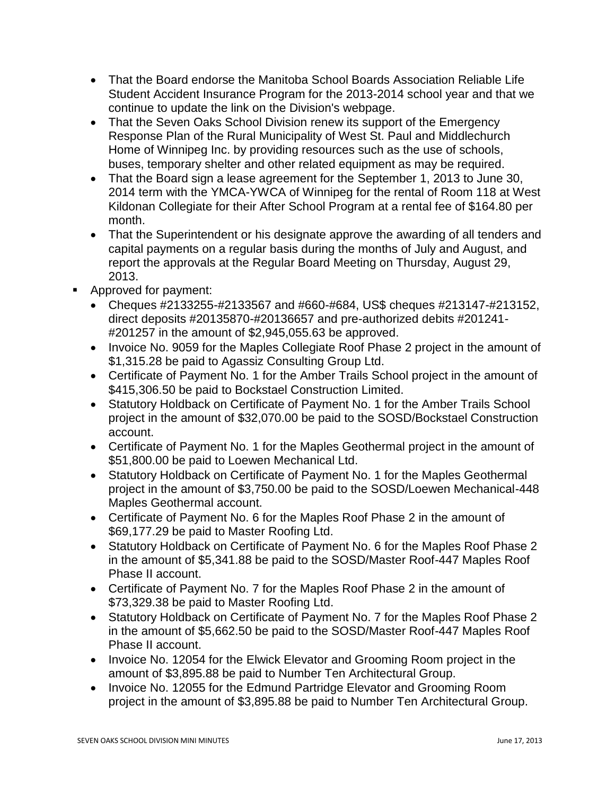- That the Board endorse the Manitoba School Boards Association Reliable Life Student Accident Insurance Program for the 2013-2014 school year and that we continue to update the link on the Division's webpage.
- That the Seven Oaks School Division renew its support of the Emergency Response Plan of the Rural Municipality of West St. Paul and Middlechurch Home of Winnipeg Inc. by providing resources such as the use of schools, buses, temporary shelter and other related equipment as may be required.
- That the Board sign a lease agreement for the September 1, 2013 to June 30, 2014 term with the YMCA-YWCA of Winnipeg for the rental of Room 118 at West Kildonan Collegiate for their After School Program at a rental fee of \$164.80 per month.
- That the Superintendent or his designate approve the awarding of all tenders and capital payments on a regular basis during the months of July and August, and report the approvals at the Regular Board Meeting on Thursday, August 29, 2013.
- **Approved for payment:** 
	- Cheques #2133255-#2133567 and #660-#684, US\$ cheques #213147-#213152, direct deposits #20135870-#20136657 and pre-authorized debits #201241- #201257 in the amount of \$2,945,055.63 be approved.
	- Invoice No. 9059 for the Maples Collegiate Roof Phase 2 project in the amount of \$1,315.28 be paid to Agassiz Consulting Group Ltd.
	- Certificate of Payment No. 1 for the Amber Trails School project in the amount of \$415,306.50 be paid to Bockstael Construction Limited.
	- Statutory Holdback on Certificate of Payment No. 1 for the Amber Trails School project in the amount of \$32,070.00 be paid to the SOSD/Bockstael Construction account.
	- Certificate of Payment No. 1 for the Maples Geothermal project in the amount of \$51,800.00 be paid to Loewen Mechanical Ltd.
	- Statutory Holdback on Certificate of Payment No. 1 for the Maples Geothermal project in the amount of \$3,750.00 be paid to the SOSD/Loewen Mechanical-448 Maples Geothermal account.
	- Certificate of Payment No. 6 for the Maples Roof Phase 2 in the amount of \$69,177.29 be paid to Master Roofing Ltd.
	- Statutory Holdback on Certificate of Payment No. 6 for the Maples Roof Phase 2 in the amount of \$5,341.88 be paid to the SOSD/Master Roof-447 Maples Roof Phase II account.
	- Certificate of Payment No. 7 for the Maples Roof Phase 2 in the amount of \$73,329.38 be paid to Master Roofing Ltd.
	- Statutory Holdback on Certificate of Payment No. 7 for the Maples Roof Phase 2 in the amount of \$5,662.50 be paid to the SOSD/Master Roof-447 Maples Roof Phase II account.
	- Invoice No. 12054 for the Elwick Elevator and Grooming Room project in the amount of \$3,895.88 be paid to Number Ten Architectural Group.
	- Invoice No. 12055 for the Edmund Partridge Elevator and Grooming Room project in the amount of \$3,895.88 be paid to Number Ten Architectural Group.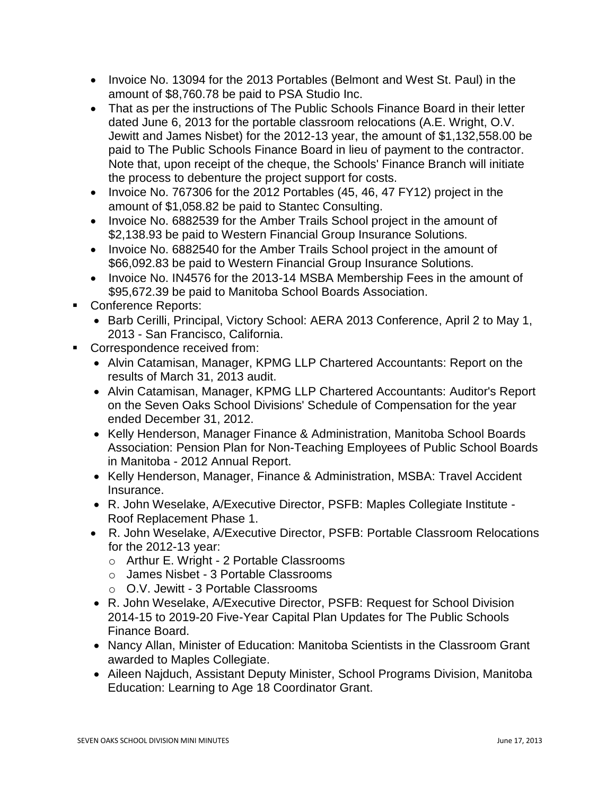- Invoice No. 13094 for the 2013 Portables (Belmont and West St. Paul) in the amount of \$8,760.78 be paid to PSA Studio Inc.
- That as per the instructions of The Public Schools Finance Board in their letter dated June 6, 2013 for the portable classroom relocations (A.E. Wright, O.V. Jewitt and James Nisbet) for the 2012-13 year, the amount of \$1,132,558.00 be paid to The Public Schools Finance Board in lieu of payment to the contractor. Note that, upon receipt of the cheque, the Schools' Finance Branch will initiate the process to debenture the project support for costs.
- Invoice No. 767306 for the 2012 Portables (45, 46, 47 FY12) project in the amount of \$1,058.82 be paid to Stantec Consulting.
- Invoice No. 6882539 for the Amber Trails School project in the amount of \$2,138.93 be paid to Western Financial Group Insurance Solutions.
- Invoice No. 6882540 for the Amber Trails School project in the amount of \$66,092.83 be paid to Western Financial Group Insurance Solutions.
- Invoice No. IN4576 for the 2013-14 MSBA Membership Fees in the amount of \$95,672.39 be paid to Manitoba School Boards Association.
- Conference Reports:
	- Barb Cerilli, Principal, Victory School: AERA 2013 Conference, April 2 to May 1, 2013 - San Francisco, California.
- Correspondence received from:
	- Alvin Catamisan, Manager, KPMG LLP Chartered Accountants: Report on the results of March 31, 2013 audit.
	- Alvin Catamisan, Manager, KPMG LLP Chartered Accountants: Auditor's Report on the Seven Oaks School Divisions' Schedule of Compensation for the year ended December 31, 2012.
	- Kelly Henderson, Manager Finance & Administration, Manitoba School Boards Association: Pension Plan for Non-Teaching Employees of Public School Boards in Manitoba - 2012 Annual Report.
	- Kelly Henderson, Manager, Finance & Administration, MSBA: Travel Accident Insurance.
	- R. John Weselake, A/Executive Director, PSFB: Maples Collegiate Institute Roof Replacement Phase 1.
	- R. John Weselake, A/Executive Director, PSFB: Portable Classroom Relocations for the 2012-13 year:
		- o Arthur E. Wright 2 Portable Classrooms
		- o James Nisbet 3 Portable Classrooms
		- o O.V. Jewitt 3 Portable Classrooms
	- R. John Weselake, A/Executive Director, PSFB: Request for School Division 2014-15 to 2019-20 Five-Year Capital Plan Updates for The Public Schools Finance Board.
	- Nancy Allan, Minister of Education: Manitoba Scientists in the Classroom Grant awarded to Maples Collegiate.
	- Aileen Najduch, Assistant Deputy Minister, School Programs Division, Manitoba Education: Learning to Age 18 Coordinator Grant.